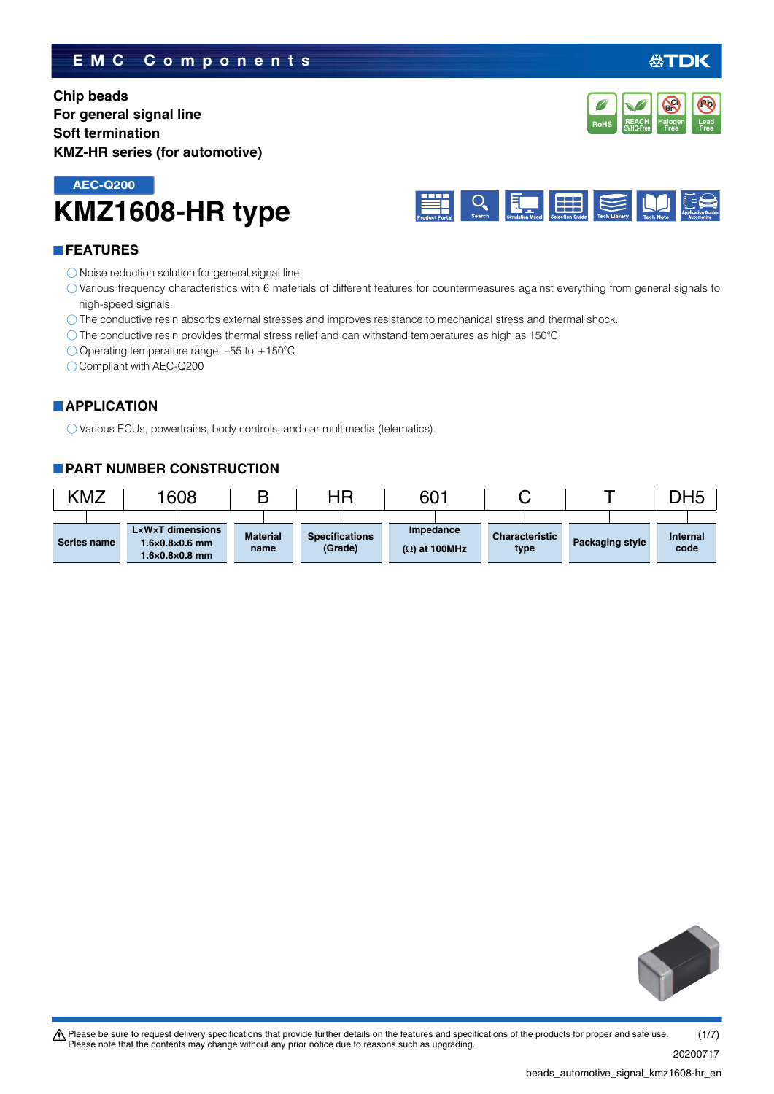# **EMC Components**

**Chip beads For general signal line Soft termination KMZ-HR series (for automotive)**

# **KMZ1608-HR type AEC-Q200**



## **FEATURES**

- O Noise reduction solution for general signal line.
- Various frequency characteristics with 6 materials of different features for countermeasures against everything from general signals to high-speed signals.
- The conductive resin absorbs external stresses and improves resistance to mechanical stress and thermal shock.
- The conductive resin provides thermal stress relief and can withstand temperatures as high as 150°C.
- $\bigcirc$  Operating temperature range: -55 to +150°C
- Compliant with AEC-Q200

## **APPLICATION**

Various ECUs, powertrains, body controls, and car multimedia (telematics).

## **PART NUMBER CONSTRUCTION**

| KMZ |             | 1608                                                                                        |                         | ΗR                               | 601                               |                               |                 | DH5              |
|-----|-------------|---------------------------------------------------------------------------------------------|-------------------------|----------------------------------|-----------------------------------|-------------------------------|-----------------|------------------|
|     | Series name | <b>LxWxT dimensions</b><br>$1.6 \times 0.8 \times 0.6$ mm<br>$1.6 \times 0.8 \times 0.8$ mm | <b>Material</b><br>name | <b>Specifications</b><br>(Grade) | Impedance<br>$(\Omega)$ at 100MHz | <b>Characteristic</b><br>type | Packaging style | Internal<br>code |



### beads\_automotive\_signal\_kmz1608-hr\_en.



**Pb**

**REACH** Halogen Lead<br>SVHC-Free Free Free **RoHS** SVHC-Free **Free Free** 

**Halogen Free Br Cl**

**REACH**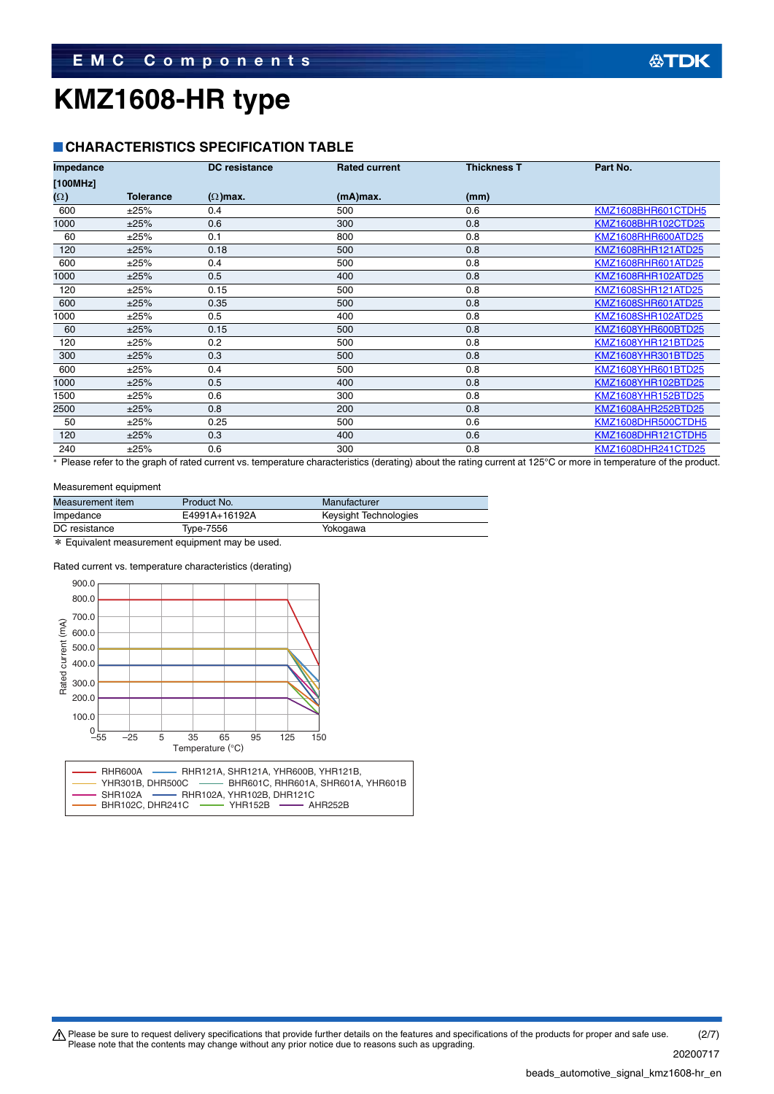## **CHARACTERISTICS SPECIFICATION TABLE**

| Impedance  |                  | <b>DC</b> resistance | <b>Rated current</b> | <b>Thickness T</b> | Part No.           |
|------------|------------------|----------------------|----------------------|--------------------|--------------------|
| [100MHz]   |                  |                      |                      |                    |                    |
| $(\Omega)$ | <b>Tolerance</b> | $(\Omega)$ max.      | $(mA)$ max.          | (mm)               |                    |
| 600        | ±25%             | 0.4                  | 500                  | 0.6                | KMZ1608BHR601CTDH5 |
| 1000       | ±25%             | 0.6                  | 300                  | 0.8                | KMZ1608BHR102CTD25 |
| 60         | ±25%             | 0.1                  | 800                  | 0.8                | KMZ1608RHR600ATD25 |
| 120        | ±25%             | 0.18                 | 500                  | 0.8                | KMZ1608RHR121ATD25 |
| 600        | ±25%             | 0.4                  | 500                  | 0.8                | KMZ1608RHR601ATD25 |
| 1000       | ±25%             | 0.5                  | 400                  | 0.8                | KMZ1608RHR102ATD25 |
| 120        | ±25%             | 0.15                 | 500                  | 0.8                | KMZ1608SHR121ATD25 |
| 600        | ±25%             | 0.35                 | 500                  | 0.8                | KMZ1608SHR601ATD25 |
| 1000       | ±25%             | 0.5                  | 400                  | 0.8                | KMZ1608SHR102ATD25 |
| 60         | ±25%             | 0.15                 | 500                  | 0.8                | KMZ1608YHR600BTD25 |
| 120        | ±25%             | 0.2                  | 500                  | 0.8                | KMZ1608YHR121BTD25 |
| 300        | ±25%             | 0.3                  | 500                  | 0.8                | KMZ1608YHR301BTD25 |
| 600        | ±25%             | 0.4                  | 500                  | 0.8                | KMZ1608YHR601BTD25 |
| 1000       | ±25%             | 0.5                  | 400                  | 0.8                | KMZ1608YHR102BTD25 |
| 1500       | ±25%             | 0.6                  | 300                  | 0.8                | KMZ1608YHR152BTD25 |
| 2500       | ±25%             | 0.8                  | 200                  | 0.8                | KMZ1608AHR252BTD25 |
| 50         | ±25%             | 0.25                 | 500                  | 0.6                | KMZ1608DHR500CTDH5 |
| 120        | ±25%             | 0.3                  | 400                  | 0.6                | KMZ1608DHR121CTDH5 |
| 240        | ±25%             | 0.6                  | 300                  | 0.8                | KMZ1608DHR241CTD25 |

\* Please refer to the graph of rated current vs. temperature characteristics (derating) about the rating current at 125°C or more in temperature of the product.

### Measurement equipment

| Measurement item | Product No.   | Manufacturer          |
|------------------|---------------|-----------------------|
| Impedance        | E4991A+16192A | Keysight Technologies |
| DC resistance    | Type-7556     | Yokogawa              |
| .                |               |                       |

\* Equivalent measurement equipment may be used.

### Rated current vs. temperature characteristics (derating)



Please be sure to request delivery specifications that provide further details on the features and specifications of the products for proper and safe use.<br>Please note that the contents may change without any prior notice d (2/7)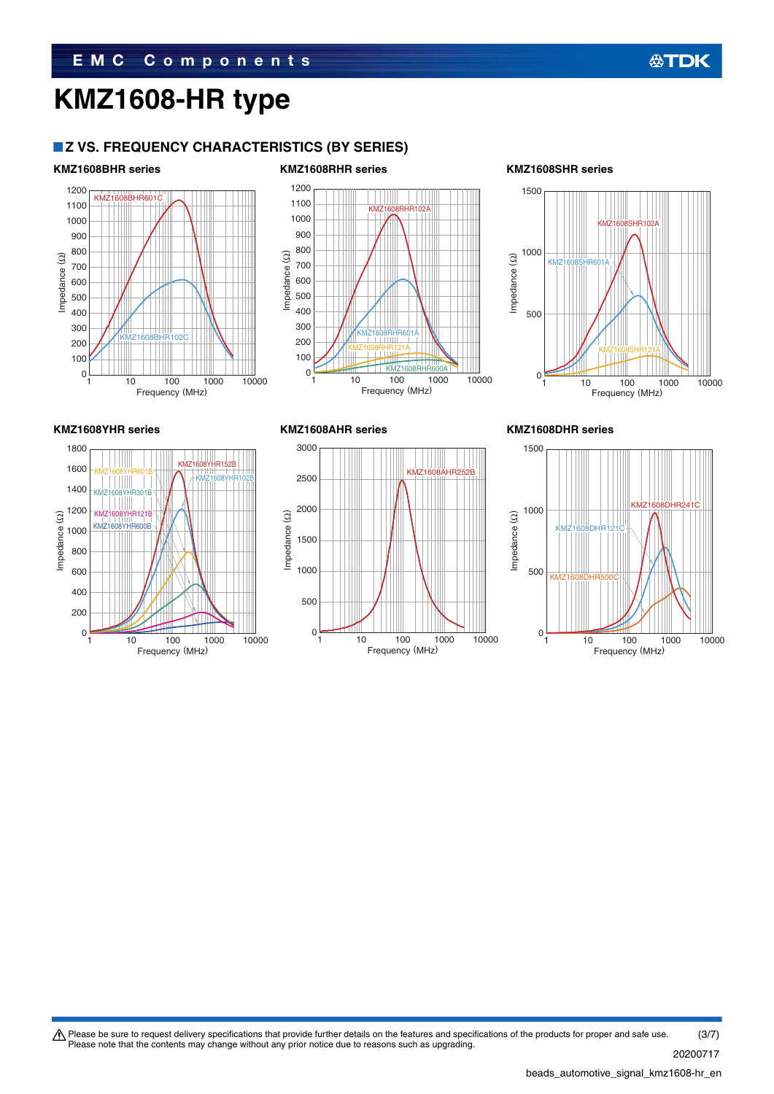## **Z VS. FREQUENCY CHARACTERISTICS (BY SERIES)**

KMZ1608BHR601







100

 $\overline{0}$ 

300

400

200

500

700

600

Impedance (Ω)

Impedance (2)



10 100 1000 10000

Frequency (MHz)

KMZ1608BHR102C



100

 $\mathsf{C}$ 

200

300

500

400

600 700

Impedance (Ω)

Impedance (2)

1200

1000 1100

> 800 900



10 100 1000 10000

KMZ1608RHR600A

Frequency (MHz)

KMZ1608RHR601A KMZ1608RHR121A

KMZ1608RHR102A



Please be sure to request delivery specifications that provide further details on the features and specifications of the products for proper and safe use.<br>Please note that the contents may change without any prior notice d (3/7)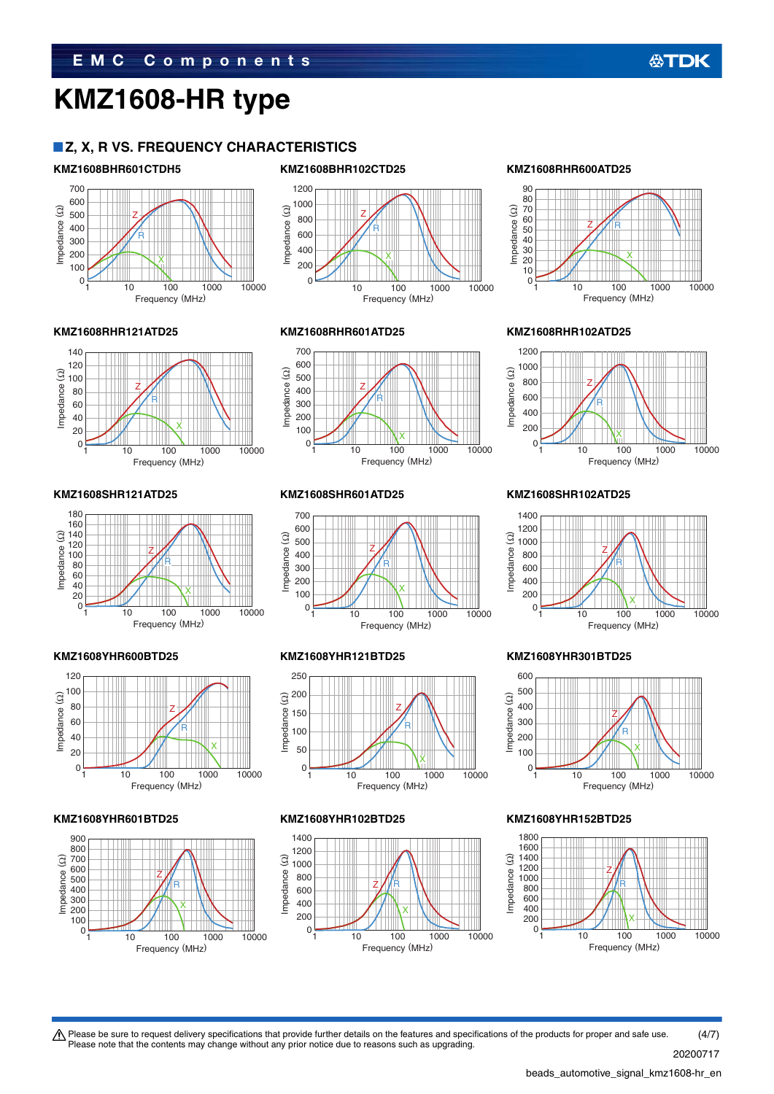### **Z, X, R VS. FREQUENCY CHARACTERISTICS**

### **KMZ1608BHR601CTDH5 KMZ1608BHR102CTD25 KMZ1608RHR600ATD25**









### **KMZ1608RHR121ATD25 KMZ1608RHR601ATD25 KMZ1608RHR102ATD25**



### **KMZ1608SHR121ATD25 KMZ1608SHR601ATD25 KMZ1608SHR102ATD25**













 $\bigwedge$  Please be sure to request delivery specifications that provide further details on the features and specifications of the products for proper and safe use.

Please note that the contents may change without any prior notice due to reasons such as upgrading.





### **KMZ1608YHR600BTD25 KMZ1608YHR121BTD25 KMZ1608YHR301BTD25**



### **KMZ1608YHR601BTD25 KMZ1608YHR102BTD25 KMZ1608YHR152BTD25**



beads\_automotive\_signal\_kmz1608-hr\_en.

20200717 (4/7)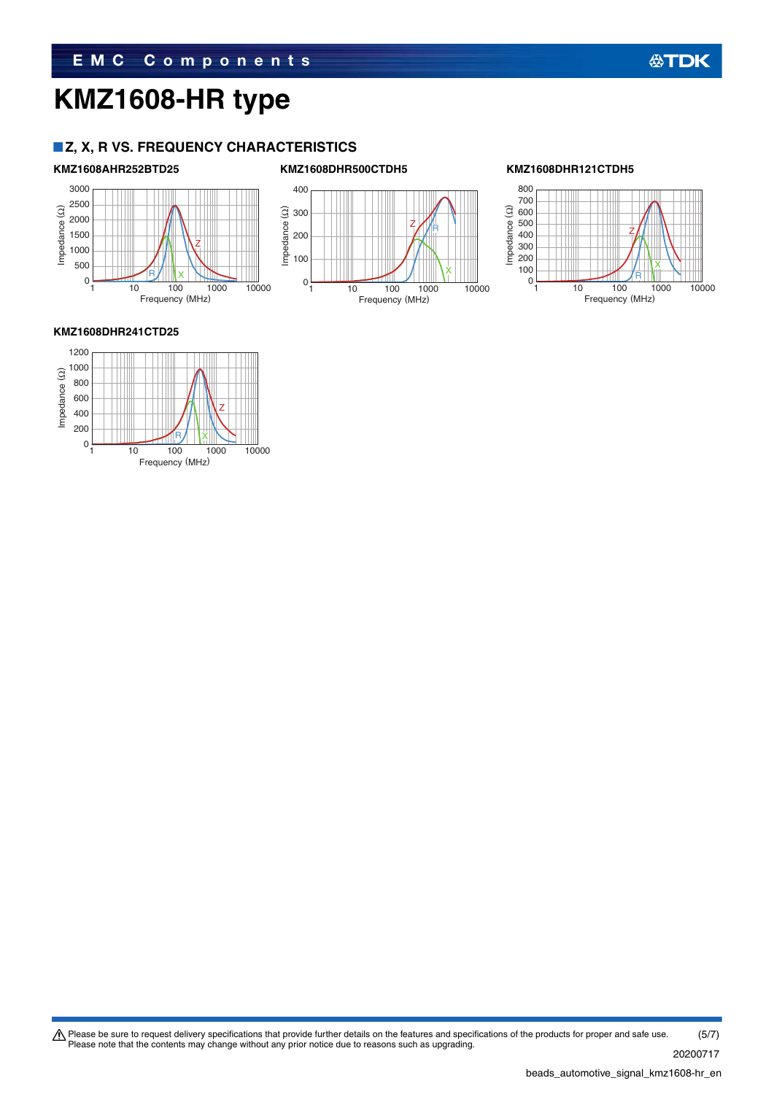## **Z, X, R VS. FREQUENCY CHARACTERISTICS**

Z

### **KMZ1608AHR252BTD25 KMZ1608DHR500CTDH5 KMZ1608DHR121CTDH5**





**公TDK** 

### **KMZ1608DHR241CTD25**

0

Impedance (Ω)

Impedance (Ω)



R/IIIX

Frequency (MHz)

Please be sure to request delivery specifications that provide further details on the features and specifications of the products for proper and safe use.<br>Please note that the contents may change without any prior notice d (5/7)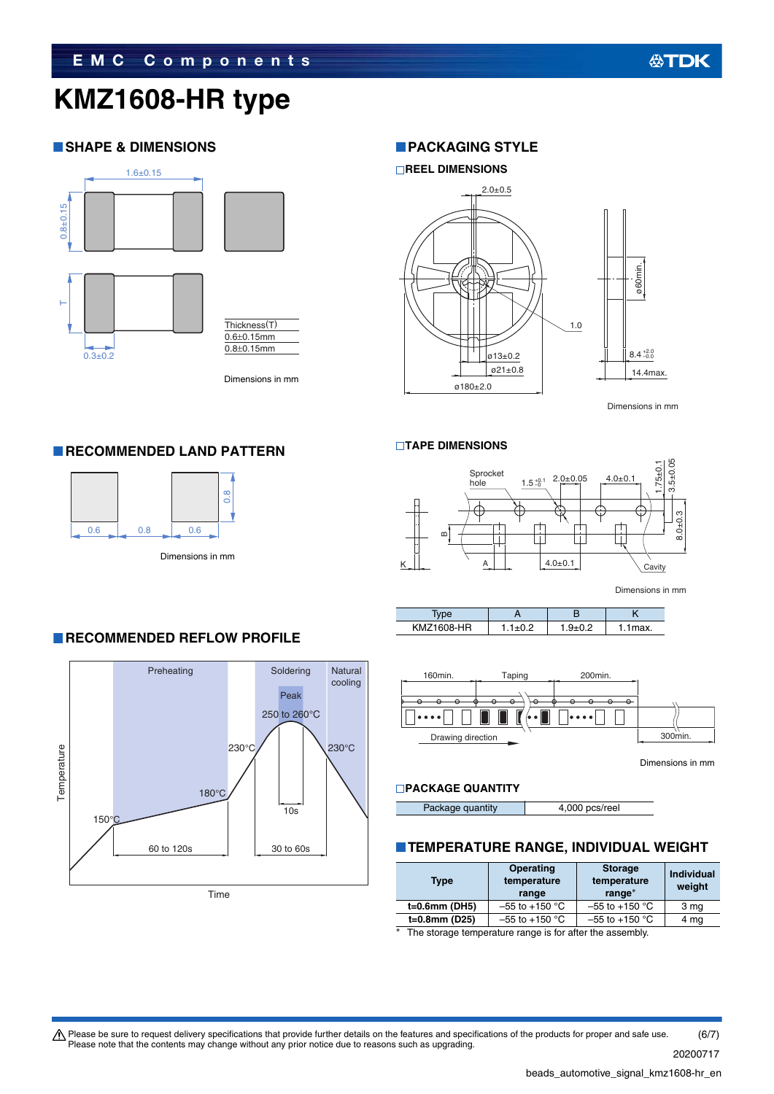## **SHAPE & DIMENSIONS**



**RECOMMENDED LAND PATTERN** 

0.6 0.8 0.6

Dimensions in mm

## **PACKAGING STYLE**



Dimensions in mm

### **TAPE DIMENSIONS**



Dimensions in mm

| <b>KMZ1608-HR</b> |  | ax. |
|-------------------|--|-----|



Dimensions in mm

### **PACKAGE QUANTITY**

Package quantity **4,000 pcs/reel** 

# **TEMPERATURE RANGE, INDIVIDUAL WEIGHT**

| Type          | <b>Operating</b><br>temperature<br>range | <b>Storage</b><br>temperature<br>range* | <b>Individual</b><br>weight |
|---------------|------------------------------------------|-----------------------------------------|-----------------------------|
| t=0.6mm (DH5) | $-55$ to $+150$ °C                       | $-55$ to +150 °C                        | 3 mg                        |
| t=0.8mm (D25) | $-55$ to $+150$ °C                       | $-55$ to +150 °C                        | 4 mg                        |
| $\sim$ $\sim$ |                                          |                                         |                             |

The storage temperature range is for after the assembly.

### **RECOMMENDED REFLOW PROFILE**

Dimensions in mm

0.8



 $\bigwedge$  Please be sure to request delivery specifications that provide further details on the features and specifications of the products for proper and safe use. Please note that the contents may change without any prior notice due to reasons such as upgrading. (6/7)